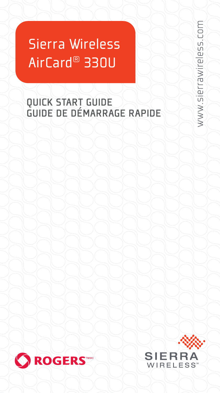# Sierra Wireless AirCard ® 330U

### QUICK START GUIDE GUIDE DE DÉMARRAGE RAPIDE





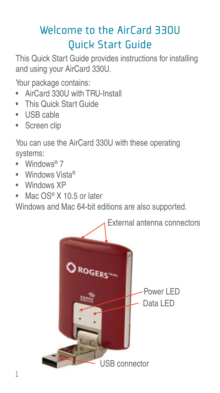# Welcome to the AirCard 330U Quick Start Guide

This Quick Start Guide provides instructions for installing and using your AirCard 330U.

Your package contains:

- AirCard 330U with TRU-Install
- This Quick Start Guide
- USB cable
- Screen clip

You can use the AirCard 330U with these operating systems:

- Windows<sup>®</sup> 7
- Windows Vista®
- Windows XP
- Mac OS® X 10.5 or later

Windows and Mac 64-bit editions are also supported.

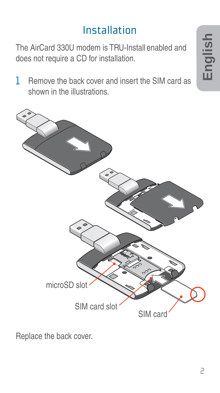# Installation

The AirCard 330U modem is TRU-Install enabled and does not require a CD for installation.

1 Remove the back cover and insert the SIM card as shown in the illustrations.



Replace the back cover.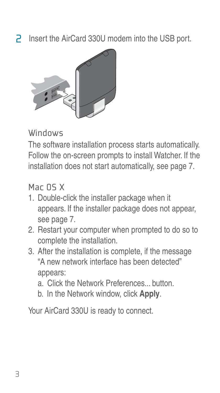2 Insert the AirCard 330U modem into the USB port.



#### Windows

The software installation process starts automatically. Follow the on-screen prompts to install Watcher. If the installation does not start automatically, see page 7.

### Mar DS X

- 1. Double-click the installer package when it appears. If the installer package does not appear, see page 7.
- 2. Restart your computer when prompted to do so to complete the installation.
- 3. After the installation is complete, if the message "A new network interface has been detected" appears:
	- a. Click the Network Preferences... button.
	- b. In the Network window, click **Apply**.

Your AirCard 330U is ready to connect.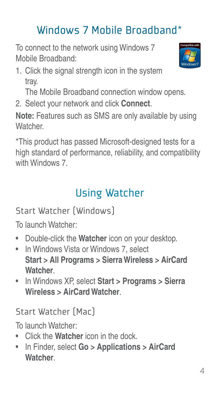# Windows 7 Mobile Broadband\*

To connect to the network using Windows 7 Mobile Broadband:

1. Click the signal strength icon in the system tray.

The Mobile Broadband connection window opens.

2. Select your network and click **Connect**.

**Note:** Features such as SMS are only available by using **Watcher** 

\*This product has passed Microsoft-designed tests for a high standard of performance, reliability, and compatibility with Windows 7.

# Using Watcher

Start Watcher (Windows)

To launch Watcher:

- Double-click the **Watcher** icon on your desktop.
- In Windows Vista or Windows 7, select **Start > All Programs > Sierra Wireless > AirCard Watcher**.
- In Windows XP, select **Start > Programs > Sierra Wireless > AirCard Watcher**.

Start Watcher (Mac)

To launch Watcher:

- Click the **Watcher** icon in the dock.
- In Finder, select **Go > Applications > AirCard Watcher**.

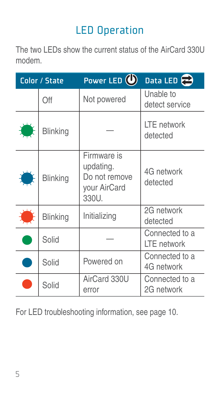# LED Operation

The two LEDs show the current status of the AirCard 330U modem.

| Color / State |                 | Power LED $\left(\bigcup_{i=1}^{n} a_i\right)$                     | Data LED                      |
|---------------|-----------------|--------------------------------------------------------------------|-------------------------------|
|               | Off             | Not powered                                                        | Unable to<br>detect service   |
|               | <b>Blinking</b> |                                                                    | LTE network<br>detected       |
|               | <b>Blinking</b> | Firmware is<br>updating.<br>Do not remove<br>your AirCard<br>330U. | 4G network<br>detected        |
|               | <b>Blinking</b> | Initializing                                                       | 2G network<br>detected        |
|               | Solid           |                                                                    | Connected to a<br>LTE network |
|               | Solid           | Powered on                                                         | Connected to a<br>4G network  |
|               | Solid           | AirCard 330U<br>error                                              | Connected to a<br>2G network  |

For LED troubleshooting information, see page 10.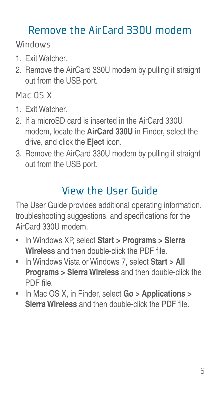# Remove the AirCard 330U modem

Windows

- 1. Exit Watcher.
- 2. Remove the AirCard 330U modem by pulling it straight out from the USB port.

Mac OS X

- 1. Exit Watcher.
- 2. If a microSD card is inserted in the AirCard 330U modem, locate the **AirCard 330U** in Finder, select the drive, and click the **Eject** icon.
- 3. Remove the AirCard 330U modem by pulling it straight out from the USB port.

# View the User Guide

The User Guide provides additional operating information, troubleshooting suggestions, and specifications for the AirCard 330U modem.

- In Windows XP, select **Start > Programs > Sierra Wireless** and then double-click the PDF file.
- In Windows Vista or Windows 7, select **Start > All Programs > Sierra Wireless** and then double-click the PDF file
- In Mac OS X, in Finder, select **Go > Applications > Sierra Wireless** and then double-click the PDF file.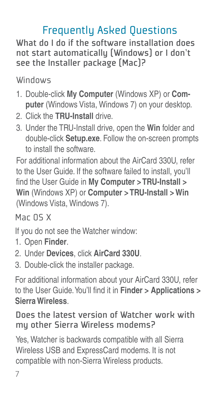# Frequently Asked Questions

What do I do if the software installation does not start automatically (Windows) or I don't see the Installer package (Mac)?

Windows

- 1. Double-click **My Computer** (Windows XP) or **Computer** (Windows Vista, Windows 7) on your desktop.
- 2. Click the **TRU-Install** drive.
- 3. Under the TRU-Install drive, open the **Win** folder and double-click **Setup.exe**. Follow the on-screen prompts to install the software.

For additional information about the AirCard 330U, refer to the User Guide. If the software failed to install, you'll find the User Guide in My Computer > TRU-Install > **Win** (Windows XP) or **Computer > TRU-Install > Win** (Windows Vista, Windows 7).

Mar DS X

If you do not see the Watcher window:

- 1. Open **Finder**.
- 2. Under **Devices**, click **AirCard 330U**.
- 3. Double-click the installer package.

For additional information about your AirCard 330U, refer to the User Guide. You'll find it in **Finder > Applications > Sierra Wireless**.

### Does the latest version of Watcher work with my other Sierra Wireless modems?

Yes, Watcher is backwards compatible with all Sierra Wireless USB and ExpressCard modems. It is not compatible with non-Sierra Wireless products.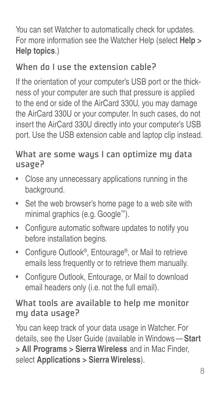You can set Watcher to automatically check for updates. For more information see the Watcher Help (select **Help > Help topics**.)

### When do I use the extension cable?

If the orientation of your computer's USB port or the thickness of your computer are such that pressure is applied to the end or side of the AirCard 330U, you may damage the AirCard 330U or your computer. In such cases, do not insert the AirCard 330U directly into your computer's USB port. Use the USB extension cable and laptop clip instead.

### What are some waus I can optimize mu data usage?

- Close any unnecessary applications running in the background.
- Set the web browser's home page to a web site with minimal graphics (e.g. Google™).
- Configure automatic software updates to notify you before installation begins.
- Configure Outlook<sup>®</sup>, Entourage®, or Mail to retrieve emails less frequently or to retrieve them manually.
- Configure Outlook, Entourage, or Mail to download email headers only (i.e. not the full email).

### What tools are available to help me monitor my data usage?

You can keep track of your data usage in Watcher. For details, see the User Guide (available in Windows — **Start > All Programs > Sierra Wireless** and in Mac Finder, select **Applications > Sierra Wireless**).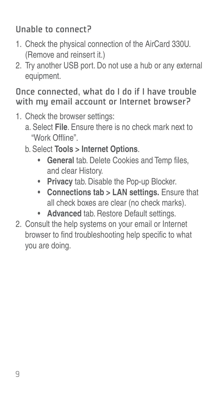### Unable to connect?

- 1. Check the physical connection of the AirCard 330U. (Remove and reinsert it.)
- 2. Try another USB port. Do not use a hub or any external equipment.

#### Once connected, what do I do if I have trouble with mu email account or Internet browser?

- 1. Check the browser settings:
	- a. Select **File**. Ensure there is no check mark next to "Work Offline"
	- b. Select **Tools > Internet Options**.
		- **General** tab. Delete Cookies and Temp files, and clear History.
		- **Privacy** tab. Disable the Pop-up Blocker.
		- **Connections tab > LAN settings.** Ensure that all check boxes are clear (no check marks).
		- **Advanced** tab. Restore Default settings.
- 2. Consult the help systems on your email or Internet browser to find troubleshooting help specific to what you are doing.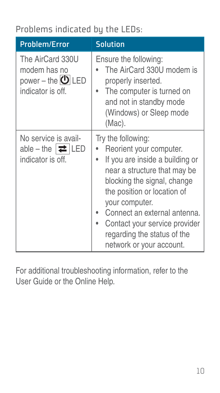### Problems indicated by the LEDs:

| <b>Problem/Error</b>                                                                | <b>Solution</b>                                                                                                                                                                                                                                                                                                              |
|-------------------------------------------------------------------------------------|------------------------------------------------------------------------------------------------------------------------------------------------------------------------------------------------------------------------------------------------------------------------------------------------------------------------------|
| The AirCard 330U<br>modem has no<br>power – the $\bigcirc$ LED<br>indicator is off. | Ensure the following:<br>The AirCard 330U modem is<br>properly inserted.<br>The computer is turned on<br>and not in standby mode<br>(Windows) or Sleep mode<br>(Mac).                                                                                                                                                        |
| No service is avail-<br>able – the $ \rightleftarrows $ LED<br>indicator is off.    | Try the following:<br>Reorient your computer.<br>If you are inside a building or<br>near a structure that may be<br>blocking the signal, change<br>the position or location of<br>your computer.<br>Connect an external antenna.<br>Contact your service provider<br>regarding the status of the<br>network or your account. |

For additional troubleshooting information, refer to the User Guide or the Online Help.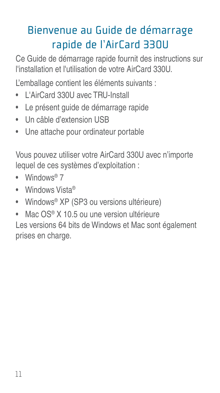# Bienvenue au Guide de démarrage rapide de l'AirCard 330U

Ce Guide de démarrage rapide fournit des instructions sur l'installation et l'utilisation de votre AirCard 330U.

L'emballage contient les éléments suivants :

- L'AirCard 330U avec TRU-Install
- Le présent guide de démarrage rapide
- Un câble d'extension USB
- Une attache pour ordinateur portable

Vous pouvez utiliser votre AirCard 330U avec n'importe lequel de ces systèmes d'exploitation :

- Windows® 7
- Windows Vista®
- Windows® XP (SP3 ou versions ultérieure)
- Mac OS® X 10.5 ou une version ultérieure Les versions 64 bits de Windows et Mac sont également prises en charge.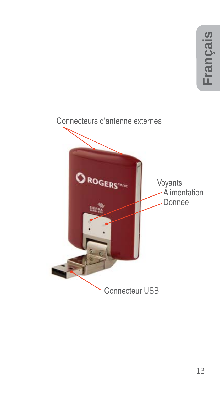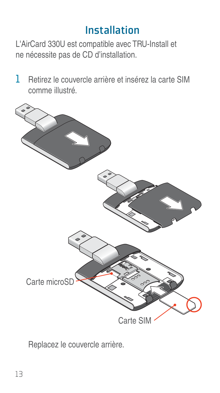### Installation

L'AirCard 330U est compatible avec TRU-Install et ne nécessite pas de CD d'installation.

 $1$  Retirez le couvercle arrière et insérez la carte SIM comme illustré.



Replacez le couvercle arrière.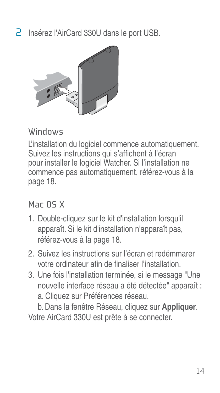2 Insérez l'AirCard 330U dans le port USB.



#### Windows

L'installation du logiciel commence automatiquement. Suivez les instructions qui s'affichent à l'écran pour installer le logiciel Watcher. Si l'installation ne commence pas automatiquement, référez-vous à la page 18.

Mar 05 X

- 1. Double-cliquez sur le kit d'installation lorsqu'il apparaît. Si le kit d'installation n'apparaît pas, référez-vous à la page 18.
- 2. Suivez les instructions sur l'écran et redémmarer votre ordinateur afin de finaliser l'installation.
- 3. Une fois l'installation terminée, si le message "Une nouvelle interface réseau a été détectée" apparaît : a. Cliquez sur Préférences réseau.

b. Dans la fenêtre Réseau, cliquez sur **Appliquer**. Votre AirCard 330U est prête à se connecter.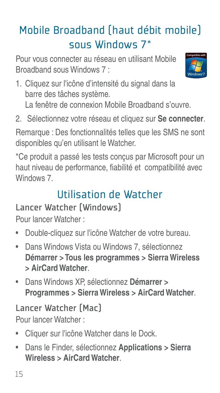# Mobile Broadband (haut débit mobile) sous Windows 7\*

Pour vous connecter au réseau en utilisant Mobile Broadband sous Windows 7 :



1. Cliquez sur l'icône d'intensité du signal dans la barre des tâches système.

La fenêtre de connexion Mobile Broadband s'ouvre.

2. Sélectionnez votre réseau et cliquez sur **Se connecter**.

Remarque : Des fonctionnalités telles que les SMS ne sont disponibles qu'en utilisant le Watcher.

\*Ce produit a passé les tests conçus par Microsoft pour un haut niveau de performance, fiabilité et compatibilité avec Windows 7.

# Utilisation de Watcher

### Lancer Watcher (Windows)

Pour lancer Watcher :

- Double-cliquez sur l'icône Watcher de votre bureau.
- Dans Windows Vista ou Windows 7, sélectionnez **Démarrer > Tous les programmes > Sierra Wireless > AirCard Watcher**.
- Dans Windows XP, sélectionnez **Démarrer > Programmes > Sierra Wireless > AirCard Watcher**.

# Lancer Watcher (Mac)

Pour lancer Watcher :

- Cliquer sur l'icône Watcher dans le Dock.
- Dans le Finder, sélectionnez **Applications > Sierra Wireless > AirCard Watcher**.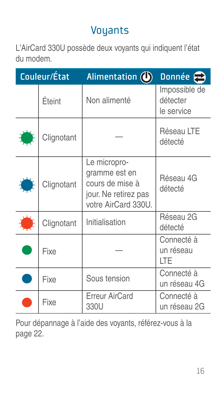### Voyants

L'AirCard 330U possède deux voyants qui indiquent l'état du modem.

| Couleur/État |            | Alimentation $\left(\bullet\right)$                                                             | Donnée $\epsilon$                       |
|--------------|------------|-------------------------------------------------------------------------------------------------|-----------------------------------------|
|              | Éteint     | Non alimenté                                                                                    | Impossible de<br>détecter<br>le service |
|              | Clignotant |                                                                                                 | Réseau LTE<br>détecté                   |
|              | Clignotant | Le micropro-<br>gramme est en<br>cours de mise à<br>jour. Ne retirez pas<br>votre AirCard 330U. | Réseau 4G<br>détecté                    |
|              | Clignotant | Initialisation                                                                                  | Réseau 2G<br>détecté                    |
|              | Fixe       |                                                                                                 | Connecté à<br>un réseau<br><b>ITF</b>   |
|              | Fixe       | Sous tension                                                                                    | Connecté à<br>un réseau 4G              |
|              | Fixe       | <b>Erreur AirCard</b><br>330U                                                                   | Connecté à<br>un réseau 2G              |

Pour dépannage à l'aide des voyants, référez-vous à la page 22.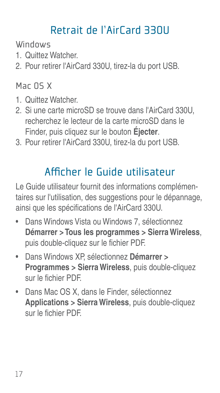# Retrait de l'AirCard 330U

Windows

- 1. Quittez Watcher.
- 2. Pour retirer l'AirCard 330U, tirez-la du port USB.

### Mar DS X

- 1. Quittez Watcher.
- 2. Si une carte microSD se trouve dans l'AirCard 330U, recherchez le lecteur de la carte microSD dans le Finder, puis cliquez sur le bouton **Éjecter**.
- 3. Pour retirer l'AirCard 330U, tirez-la du port USB.

# Afficher le Guide utilisateur

Le Guide utilisateur fournit des informations complémentaires sur l'utilisation, des suggestions pour le dépannage, ainsi que les spécifications de l'AirCard 330U.

- Dans Windows Vista ou Windows 7, sélectionnez **Démarrer > Tous les programmes > Sierra Wireless**, puis double-cliquez sur le fichier PDF.
- Dans Windows XP, sélectionnez **Démarrer > Programmes > Sierra Wireless**, puis double-cliquez sur le fichier PDF
- Dans Mac OS X, dans le Finder, sélectionnez **Applications > Sierra Wireless**, puis double-cliquez sur le fichier PDF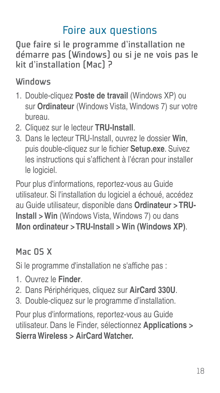### Foire aux questions

Que faire si le programme d'installation ne démarre pas (Windows) ou si je ne vois pas le kit d'installation (Mac) ?

### Windows

- 1. Double-cliquez **Poste de travail** (Windows XP) ou sur **Ordinateur** (Windows Vista, Windows 7) sur votre bureau.
- 2. Cliquez sur le lecteur **TRU-Install**.
- 3. Dans le lecteur TRU-Install, ouvrez le dossier **Win**, puis double-cliquez sur le fichier **Setup.exe**. Suivez les instructions qui s'affichent à l'écran pour installer le logiciel.

Pour plus d'informations, reportez-vous au Guide utilisateur. Si l'installation du logiciel a échoué, accédez au Guide utilisateur, disponible dans **Ordinateur > TRU-Install > Win** (Windows Vista, Windows 7) ou dans **Mon ordinateur > TRU-Install > Win (Windows XP)**.

### Mac OS X

Si le programme d'installation ne s'affiche pas :

- 1. Ouvrez le **Finder**.
- 2. Dans Périphériques, cliquez sur **AirCard 330U**.
- 3. Double-cliquez sur le programme d'installation.

Pour plus d'informations, reportez-vous au Guide utilisateur. Dans le Finder, sélectionnez **Applications > Sierra Wireless > AirCard Watcher.**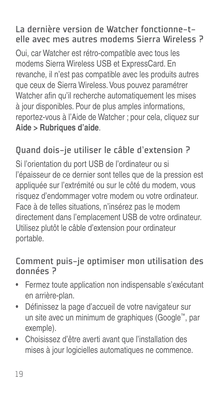### La dernière version de Watcher fonctionne-telle avec mes autres modems Sierra Wireless ?

Oui, car Watcher est rétro-compatible avec tous les modems Sierra Wireless USB et ExpressCard. En revanche, il n'est pas compatible avec les produits autres que ceux de Sierra Wireless. Vous pouvez paramétrer Watcher afin qu'il recherche automatiquement les mises à jour disponibles. Pour de plus amples informations, reportez-vous à l'Aide de Watcher ; pour cela, cliquez sur **Aide > Rubriques d'aide**.

### Quand dois-je utiliser le câble d'extension ?

Si l'orientation du port USB de l'ordinateur ou si l'épaisseur de ce dernier sont telles que de la pression est appliquée sur l'extrémité ou sur le côté du modem, vous risquez d'endommager votre modem ou votre ordinateur. Face à de telles situations, n'insérez pas le modem directement dans l'emplacement USB de votre ordinateur. Utilisez plutôt le câble d'extension pour ordinateur portable.

#### Comment puis-je optimiser mon utilisation des données ?

- Fermez toute application non indispensable s'exécutant en arrière-plan.
- Définissez la page d'accueil de votre navigateur sur un site avec un minimum de graphiques (Google™, par exemple).
- Choisissez d'être averti avant que l'installation des mises à jour logicielles automatiques ne commence.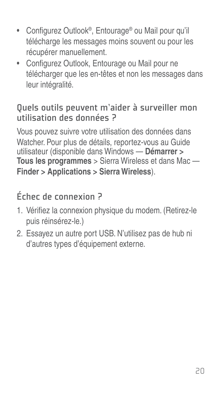- Configurez Outlook®, Entourage® ou Mail pour qu'il télécharge les messages moins souvent ou pour les récupérer manuellement.
- Configurez Outlook, Entourage ou Mail pour ne télécharger que les en-têtes et non les messages dans leur intégralité.

#### Quels outils peuvent m'aider à surveiller mon utilisation des données ?

Vous pouvez suivre votre utilisation des données dans Watcher. Pour plus de détails, reportez-vous au Guide utilisateur (disponible dans Windows — **Démarrer > Tous les programmes** > Sierra Wireless et dans Mac — **Finder > Applications > Sierra Wireless**).

### Échec de connexion ?

- 1. Vérifiez la connexion physique du modem. (Retirez-le puis réinsérez-le.)
- 2. Essayez un autre port USB. N'utilisez pas de hub ni d'autres types d'équipement externe.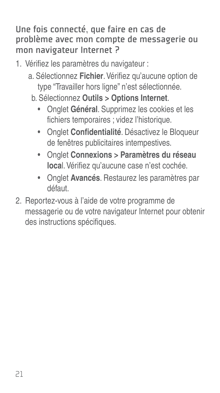Une fois connecté, que faire en cas de problème avec mon compte de messagerie ou mon navigateur Internet ?

- 1. Vérifiez les paramètres du navigateur :
	- a. Sélectionnez **Fichier**. Vérifiez qu'aucune option de type "Travailler hors ligne" n'est sélectionnée.
		- b. Sélectionnez **Outils > Options Internet**.
			- Onglet **Général**. Supprimez les cookies et les fichiers temporaires ; videz l'historique.
			- Onglet **Confidentialité**. Désactivez le Bloqueur de fenêtres publicitaires intempestives.
			- Onglet **Connexions > Paramètres du réseau**  local. Vérifiez qu'aucune case n'est cochée.
			- Onglet **Avancés**. Restaurez les paramètres par défaut.
- 2. Reportez-vous à l'aide de votre programme de messagerie ou de votre navigateur Internet pour obtenir des instructions spécifiques.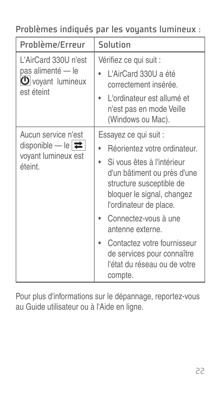Problèmes indiqués par les voyants lumineux :

| Problème/Erreur                                                                               | Solution                                                                                                                                                                                                                                                                                                                                                   |  |  |
|-----------------------------------------------------------------------------------------------|------------------------------------------------------------------------------------------------------------------------------------------------------------------------------------------------------------------------------------------------------------------------------------------------------------------------------------------------------------|--|--|
| L'AirCard 330U n'est<br>pas alimenté — le<br>$\bigcirc$ voyant lumineux<br>est éteint         | Vérifiez ce qui suit :<br>L'AirCard 330U a été<br>correctement insérée.<br>L'ordinateur est allumé et<br>٠<br>n'est pas en mode Veille<br>(Windows ou Mac).                                                                                                                                                                                                |  |  |
| Aucun service n'est<br>disponible — le $ \rightleftarrows $<br>voyant lumineux est<br>éteint. | Essayez ce qui suit :<br>Réorientez votre ordinateur.<br>Si vous êtes à l'intérieur<br>d'un bâtiment ou près d'une<br>structure susceptible de<br>bloquer le signal, changez<br>l'ordinateur de place.<br>Connectez-vous à une<br>antenne externe.<br>Contactez votre fournisseur<br>de services pour connaître<br>l'état du réseau ou de votre<br>compte. |  |  |

Pour plus d'informations sur le dépannage, reportez-vous au Guide utilisateur ou à l'Aide en ligne.